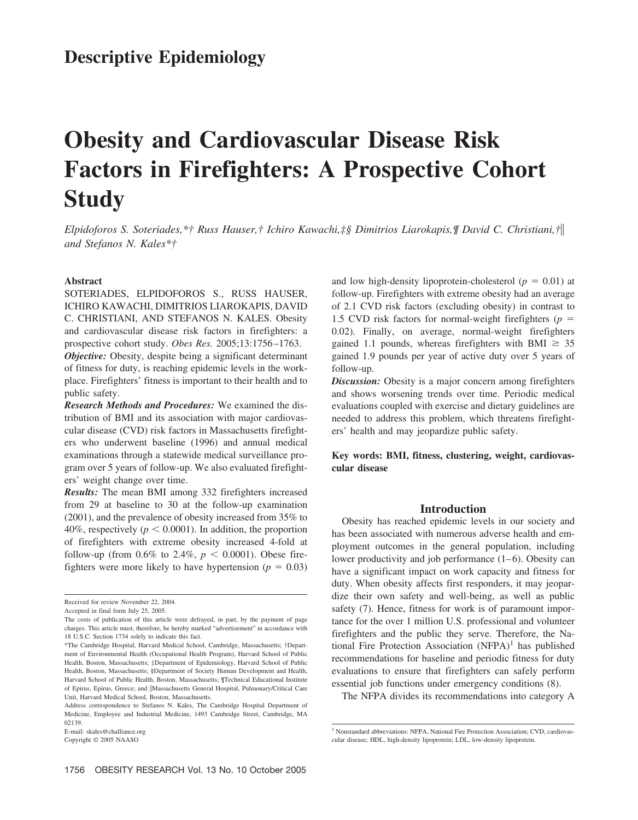# **Obesity and Cardiovascular Disease Risk Factors in Firefighters: A Prospective Cohort Study**

*Elpidoforos S. Soteriades,\*† Russ Hauser,† Ichiro Kawachi,‡§ Dimitrios Liarokapis,¶ David C. Christiani,† and Stefanos N. Kales\*†*

#### **Abstract**

SOTERIADES, ELPIDOFOROS S., RUSS HAUSER, ICHIRO KAWACHI, DIMITRIOS LIAROKAPIS, DAVID C. CHRISTIANI, AND STEFANOS N. KALES. Obesity and cardiovascular disease risk factors in firefighters: a prospective cohort study. *Obes Res.* 2005;13:1756 –1763.

*Objective:* Obesity, despite being a significant determinant of fitness for duty, is reaching epidemic levels in the workplace. Firefighters' fitness is important to their health and to public safety.

*Research Methods and Procedures:* We examined the distribution of BMI and its association with major cardiovascular disease (CVD) risk factors in Massachusetts firefighters who underwent baseline (1996) and annual medical examinations through a statewide medical surveillance program over 5 years of follow-up. We also evaluated firefighters' weight change over time.

*Results:* The mean BMI among 332 firefighters increased from 29 at baseline to 30 at the follow-up examination (2001), and the prevalence of obesity increased from 35% to 40%, respectively ( $p < 0.0001$ ). In addition, the proportion of firefighters with extreme obesity increased 4-fold at follow-up (from 0.6% to 2.4%,  $p < 0.0001$ ). Obese firefighters were more likely to have hypertension ( $p = 0.03$ )

and low high-density lipoprotein-cholesterol ( $p = 0.01$ ) at follow-up. Firefighters with extreme obesity had an average of 2.1 CVD risk factors (excluding obesity) in contrast to 1.5 CVD risk factors for normal-weight firefighters ( $p =$ 0.02). Finally, on average, normal-weight firefighters gained 1.1 pounds, whereas firefighters with BMI  $\geq 35$ gained 1.9 pounds per year of active duty over 5 years of follow-up.

*Discussion:* Obesity is a major concern among firefighters and shows worsening trends over time. Periodic medical evaluations coupled with exercise and dietary guidelines are needed to address this problem, which threatens firefighters' health and may jeopardize public safety.

**Key words: BMI, fitness, clustering, weight, cardiovascular disease**

#### **Introduction**

Obesity has reached epidemic levels in our society and has been associated with numerous adverse health and employment outcomes in the general population, including lower productivity and job performance  $(1-6)$ . Obesity can have a significant impact on work capacity and fitness for duty. When obesity affects first responders, it may jeopardize their own safety and well-being, as well as public safety (7). Hence, fitness for work is of paramount importance for the over 1 million U.S. professional and volunteer firefighters and the public they serve. Therefore, the National Fire Protection Association  $(NFPA)^1$  has published recommendations for baseline and periodic fitness for duty evaluations to ensure that firefighters can safely perform essential job functions under emergency conditions (8).

The NFPA divides its recommendations into category A

Received for review November 22, 2004.

Accepted in final form July 25, 2005.

The costs of publication of this article were defrayed, in part, by the payment of page charges. This article must, therefore, be hereby marked "advertisement" in accordance with 18 U.S.C. Section 1734 solely to indicate this fact.

<sup>\*</sup>The Cambridge Hospital, Harvard Medical School, Cambridge, Massachusetts; †Department of Environmental Health (Occupational Health Program), Harvard School of Public Health, Boston, Massachusetts; ‡Department of Epidemiology, Harvard School of Public Health, Boston, Massachusetts; §Department of Society Human Development and Health, Harvard School of Public Health, Boston, Massachusetts; ¶Technical Educational Institute of Epirus, Epirus, Greece; and ||Massachusetts General Hospital, Pulmonary/Critical Care Unit, Harvard Medical School, Boston, Massachusetts.

Address correspondence to Stefanos N. Kales, The Cambridge Hospital Department of Medicine, Employee and Industrial Medicine, 1493 Cambridge Street, Cambridge, MA 02139.

E-mail: skales@challiance.org

Copyright © 2005 NAASO

<sup>&</sup>lt;sup>1</sup> Nonstandard abbreviations: NFPA, National Fire Protection Association; CVD, cardiovascular disease; HDL, high-density lipoprotein; LDL, low-density lipoprotein.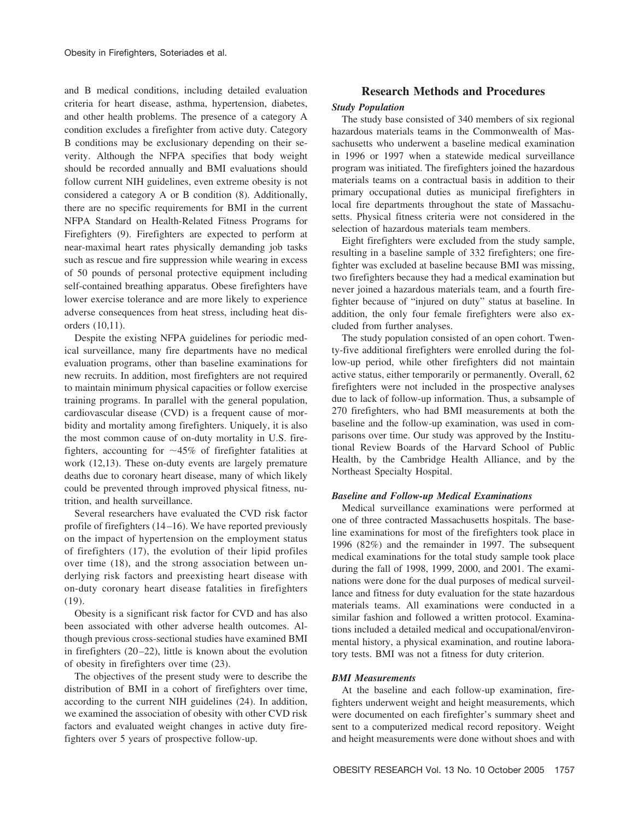and B medical conditions, including detailed evaluation criteria for heart disease, asthma, hypertension, diabetes, and other health problems. The presence of a category A condition excludes a firefighter from active duty. Category B conditions may be exclusionary depending on their severity. Although the NFPA specifies that body weight should be recorded annually and BMI evaluations should follow current NIH guidelines, even extreme obesity is not considered a category A or B condition (8). Additionally, there are no specific requirements for BMI in the current NFPA Standard on Health-Related Fitness Programs for Firefighters (9). Firefighters are expected to perform at near-maximal heart rates physically demanding job tasks such as rescue and fire suppression while wearing in excess of 50 pounds of personal protective equipment including self-contained breathing apparatus. Obese firefighters have lower exercise tolerance and are more likely to experience adverse consequences from heat stress, including heat disorders (10,11).

Despite the existing NFPA guidelines for periodic medical surveillance, many fire departments have no medical evaluation programs, other than baseline examinations for new recruits. In addition, most firefighters are not required to maintain minimum physical capacities or follow exercise training programs. In parallel with the general population, cardiovascular disease (CVD) is a frequent cause of morbidity and mortality among firefighters. Uniquely, it is also the most common cause of on-duty mortality in U.S. firefighters, accounting for  $\sim$ 45% of firefighter fatalities at work (12,13). These on-duty events are largely premature deaths due to coronary heart disease, many of which likely could be prevented through improved physical fitness, nutrition, and health surveillance.

Several researchers have evaluated the CVD risk factor profile of firefighters (14 –16). We have reported previously on the impact of hypertension on the employment status of firefighters (17), the evolution of their lipid profiles over time (18), and the strong association between underlying risk factors and preexisting heart disease with on-duty coronary heart disease fatalities in firefighters (19).

Obesity is a significant risk factor for CVD and has also been associated with other adverse health outcomes. Although previous cross-sectional studies have examined BMI in firefighters (20 –22), little is known about the evolution of obesity in firefighters over time (23).

The objectives of the present study were to describe the distribution of BMI in a cohort of firefighters over time, according to the current NIH guidelines (24). In addition, we examined the association of obesity with other CVD risk factors and evaluated weight changes in active duty firefighters over 5 years of prospective follow-up.

# **Research Methods and Procedures**

### *Study Population*

The study base consisted of 340 members of six regional hazardous materials teams in the Commonwealth of Massachusetts who underwent a baseline medical examination in 1996 or 1997 when a statewide medical surveillance program was initiated. The firefighters joined the hazardous materials teams on a contractual basis in addition to their primary occupational duties as municipal firefighters in local fire departments throughout the state of Massachusetts. Physical fitness criteria were not considered in the selection of hazardous materials team members.

Eight firefighters were excluded from the study sample, resulting in a baseline sample of 332 firefighters; one firefighter was excluded at baseline because BMI was missing, two firefighters because they had a medical examination but never joined a hazardous materials team, and a fourth firefighter because of "injured on duty" status at baseline. In addition, the only four female firefighters were also excluded from further analyses.

The study population consisted of an open cohort. Twenty-five additional firefighters were enrolled during the follow-up period, while other firefighters did not maintain active status, either temporarily or permanently. Overall, 62 firefighters were not included in the prospective analyses due to lack of follow-up information. Thus, a subsample of 270 firefighters, who had BMI measurements at both the baseline and the follow-up examination, was used in comparisons over time. Our study was approved by the Institutional Review Boards of the Harvard School of Public Health, by the Cambridge Health Alliance, and by the Northeast Specialty Hospital.

### *Baseline and Follow-up Medical Examinations*

Medical surveillance examinations were performed at one of three contracted Massachusetts hospitals. The baseline examinations for most of the firefighters took place in 1996 (82%) and the remainder in 1997. The subsequent medical examinations for the total study sample took place during the fall of 1998, 1999, 2000, and 2001. The examinations were done for the dual purposes of medical surveillance and fitness for duty evaluation for the state hazardous materials teams. All examinations were conducted in a similar fashion and followed a written protocol. Examinations included a detailed medical and occupational/environmental history, a physical examination, and routine laboratory tests. BMI was not a fitness for duty criterion.

#### *BMI Measurements*

At the baseline and each follow-up examination, firefighters underwent weight and height measurements, which were documented on each firefighter's summary sheet and sent to a computerized medical record repository. Weight and height measurements were done without shoes and with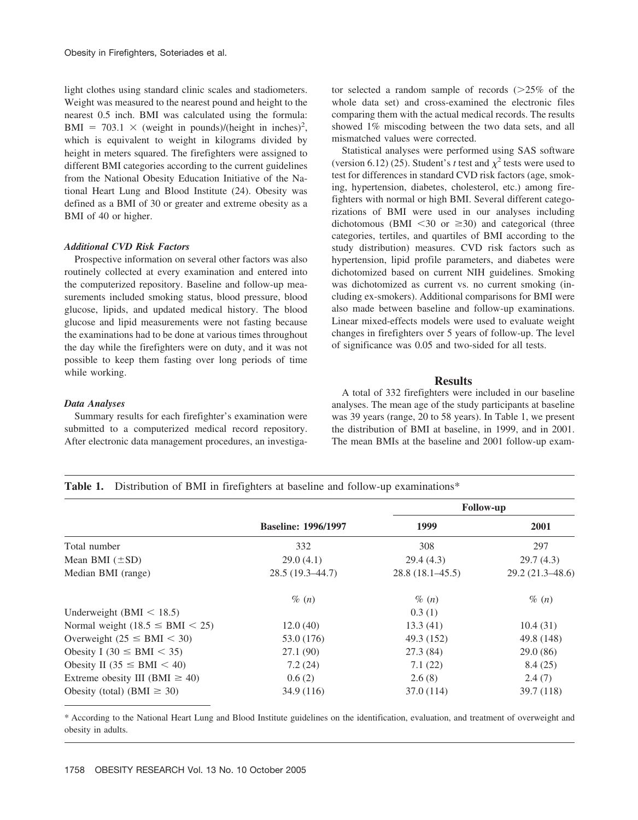light clothes using standard clinic scales and stadiometers. Weight was measured to the nearest pound and height to the nearest 0.5 inch. BMI was calculated using the formula: BMI = 703.1  $\times$  (weight in pounds)/(height in inches)<sup>2</sup>, which is equivalent to weight in kilograms divided by height in meters squared. The firefighters were assigned to different BMI categories according to the current guidelines from the National Obesity Education Initiative of the National Heart Lung and Blood Institute (24). Obesity was defined as a BMI of 30 or greater and extreme obesity as a BMI of 40 or higher.

#### *Additional CVD Risk Factors*

Prospective information on several other factors was also routinely collected at every examination and entered into the computerized repository. Baseline and follow-up measurements included smoking status, blood pressure, blood glucose, lipids, and updated medical history. The blood glucose and lipid measurements were not fasting because the examinations had to be done at various times throughout the day while the firefighters were on duty, and it was not possible to keep them fasting over long periods of time while working.

#### *Data Analyses*

Summary results for each firefighter's examination were submitted to a computerized medical record repository. After electronic data management procedures, an investigator selected a random sample of records  $(>=25\%$  of the whole data set) and cross-examined the electronic files comparing them with the actual medical records. The results showed 1% miscoding between the two data sets, and all mismatched values were corrected.

Statistical analyses were performed using SAS software (version 6.12) (25). Student's *t* test and  $\chi^2$  tests were used to test for differences in standard CVD risk factors (age, smoking, hypertension, diabetes, cholesterol, etc.) among firefighters with normal or high BMI. Several different categorizations of BMI were used in our analyses including dichotomous (BMI  $\leq 30$  or  $\geq 30$ ) and categorical (three categories, tertiles, and quartiles of BMI according to the study distribution) measures. CVD risk factors such as hypertension, lipid profile parameters, and diabetes were dichotomized based on current NIH guidelines. Smoking was dichotomized as current vs. no current smoking (including ex-smokers). Additional comparisons for BMI were also made between baseline and follow-up examinations. Linear mixed-effects models were used to evaluate weight changes in firefighters over 5 years of follow-up. The level of significance was 0.05 and two-sided for all tests.

## **Results**

A total of 332 firefighters were included in our baseline analyses. The mean age of the study participants at baseline was 39 years (range, 20 to 58 years). In Table 1, we present the distribution of BMI at baseline, in 1999, and in 2001. The mean BMIs at the baseline and 2001 follow-up exam-

|  |  |  |  |  |  | <b>Table 1.</b> Distribution of BMI in firefighters at baseline and follow-up examinations* |
|--|--|--|--|--|--|---------------------------------------------------------------------------------------------|
|--|--|--|--|--|--|---------------------------------------------------------------------------------------------|

|                                      |                            | <b>Follow-up</b>    |                     |  |
|--------------------------------------|----------------------------|---------------------|---------------------|--|
|                                      | <b>Baseline: 1996/1997</b> | 1999                | 2001                |  |
| Total number                         | 332                        | 308                 | 297                 |  |
| Mean BMI $(\pm SD)$                  | 29.0(4.1)                  | 29.4(4.3)           | 29.7(4.3)           |  |
| Median BMI (range)                   | $28.5(19.3-44.7)$          | $28.8(18.1 - 45.5)$ | $29.2(21.3 - 48.6)$ |  |
|                                      | $\%$ $(n)$                 | $\%$ $(n)$          | $\%$ $(n)$          |  |
| Underweight (BMI $<$ 18.5)           |                            | 0.3(1)              |                     |  |
| Normal weight $(18.5 \leq BMI < 25)$ | 12.0(40)                   | 13.3(41)            | 10.4(31)            |  |
| Overweight ( $25 \leq BMI < 30$ )    | 53.0 (176)                 | 49.3 (152)          | 49.8 (148)          |  |
| Obesity I (30 $\le$ BMI $<$ 35)      | 27.1 (90)                  | 27.3 (84)           | 29.0(86)            |  |
| Obesity II (35 $\le$ BMI $<$ 40)     | 7.2(24)                    | 7.1(22)             | 8.4(25)             |  |
| Extreme obesity III (BMI $\geq$ 40)  | 0.6(2)                     | 2.6(8)              | 2.4(7)              |  |
| Obesity (total) (BMI $\geq$ 30)      | 34.9 (116)                 | 37.0 (114)          | 39.7(118)           |  |

\* According to the National Heart Lung and Blood Institute guidelines on the identification, evaluation, and treatment of overweight and obesity in adults.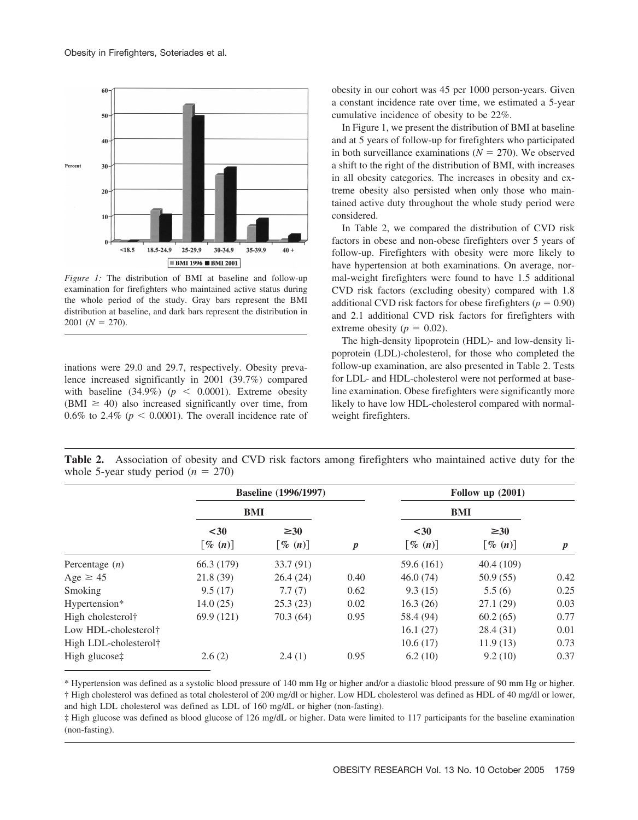

*Figure 1:* The distribution of BMI at baseline and follow-up examination for firefighters who maintained active status during the whole period of the study. Gray bars represent the BMI distribution at baseline, and dark bars represent the distribution in  $2001 (N = 270).$ 

inations were 29.0 and 29.7, respectively. Obesity prevalence increased significantly in 2001 (39.7%) compared with baseline  $(34.9\%)$  ( $p < 0.0001$ ). Extreme obesity (BMI  $\geq$  40) also increased significantly over time, from 0.6% to 2.4% ( $p < 0.0001$ ). The overall incidence rate of obesity in our cohort was 45 per 1000 person-years. Given a constant incidence rate over time, we estimated a 5-year cumulative incidence of obesity to be 22%.

In Figure 1, we present the distribution of BMI at baseline and at 5 years of follow-up for firefighters who participated in both surveillance examinations  $(N = 270)$ . We observed a shift to the right of the distribution of BMI, with increases in all obesity categories. The increases in obesity and extreme obesity also persisted when only those who maintained active duty throughout the whole study period were considered.

In Table 2, we compared the distribution of CVD risk factors in obese and non-obese firefighters over 5 years of follow-up. Firefighters with obesity were more likely to have hypertension at both examinations. On average, normal-weight firefighters were found to have 1.5 additional CVD risk factors (excluding obesity) compared with 1.8 additional CVD risk factors for obese firefighters ( $p = 0.90$ ) and 2.1 additional CVD risk factors for firefighters with extreme obesity ( $p = 0.02$ ).

The high-density lipoprotein (HDL)- and low-density lipoprotein (LDL)-cholesterol, for those who completed the follow-up examination, are also presented in Table 2. Tests for LDL- and HDL-cholesterol were not performed at baseline examination. Obese firefighters were significantly more likely to have low HDL-cholesterol compared with normalweight firefighters.

**Table 2.** Association of obesity and CVD risk factors among firefighters who maintained active duty for the whole 5-year study period  $(n = 270)$ 

|                                   |                                  | <b>Baseline</b> (1996/1997)         |                  |                                | Follow up $(2001)$                  |                  |
|-----------------------------------|----------------------------------|-------------------------------------|------------------|--------------------------------|-------------------------------------|------------------|
|                                   | BMI                              |                                     |                  | BMI                            |                                     |                  |
|                                   | $30$<br>$\lbrack \% (n) \rbrack$ | $\geq 30$<br>$\lceil \% (n) \rceil$ | $\boldsymbol{p}$ | $30$<br>$\lceil \% (n) \rceil$ | $\geq 30$<br>$\lceil \% (n) \rceil$ | $\boldsymbol{p}$ |
| Percentage $(n)$                  | 66.3 (179)                       | 33.7 (91)                           |                  | 59.6 (161)                     | 40.4(109)                           |                  |
| Age $\geq 45$                     | 21.8(39)                         | 26.4(24)                            | 0.40             | 46.0(74)                       | 50.9(55)                            | 0.42             |
| Smoking                           | 9.5(17)                          | 7.7(7)                              | 0.62             | 9.3(15)                        | 5.5(6)                              | 0.25             |
| Hypertension*                     | 14.0(25)                         | 25.3(23)                            | 0.02             | 16.3(26)                       | 27.1(29)                            | 0.03             |
| High cholesterol <sup>†</sup>     | 69.9 (121)                       | 70.3(64)                            | 0.95             | 58.4 (94)                      | 60.2(65)                            | 0.77             |
| Low HDL-cholesterol <sup>†</sup>  |                                  |                                     |                  | 16.1(27)                       | 28.4 (31)                           | 0.01             |
| High LDL-cholesterol <sup>†</sup> |                                  |                                     |                  | 10.6(17)                       | 11.9(13)                            | 0.73             |
| High glucose‡                     | 2.6(2)                           | 2.4(1)                              | 0.95             | 6.2(10)                        | 9.2(10)                             | 0.37             |

\* Hypertension was defined as a systolic blood pressure of 140 mm Hg or higher and/or a diastolic blood pressure of 90 mm Hg or higher. † High cholesterol was defined as total cholesterol of 200 mg/dl or higher. Low HDL cholesterol was defined as HDL of 40 mg/dl or lower, and high LDL cholesterol was defined as LDL of 160 mg/dL or higher (non-fasting).

‡ High glucose was defined as blood glucose of 126 mg/dL or higher. Data were limited to 117 participants for the baseline examination (non-fasting).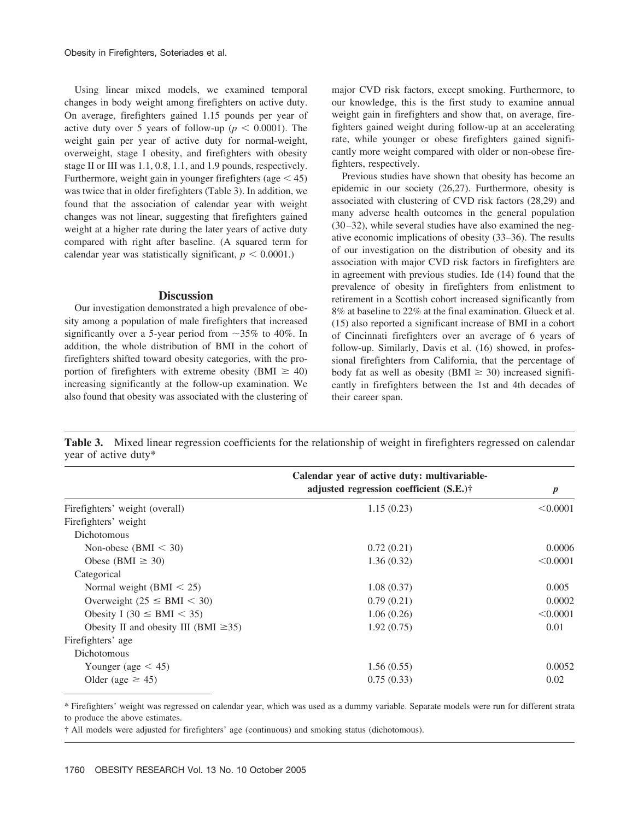Using linear mixed models, we examined temporal changes in body weight among firefighters on active duty. On average, firefighters gained 1.15 pounds per year of active duty over 5 years of follow-up ( $p < 0.0001$ ). The weight gain per year of active duty for normal-weight, overweight, stage I obesity, and firefighters with obesity stage II or III was 1.1, 0.8, 1.1, and 1.9 pounds, respectively. Furthermore, weight gain in younger firefighters (age  $\leq$  45) was twice that in older firefighters (Table 3). In addition, we found that the association of calendar year with weight changes was not linear, suggesting that firefighters gained weight at a higher rate during the later years of active duty compared with right after baseline. (A squared term for calendar year was statistically significant,  $p < 0.0001$ .)

### **Discussion**

Our investigation demonstrated a high prevalence of obesity among a population of male firefighters that increased significantly over a 5-year period from  $\sim$ 35% to 40%. In addition, the whole distribution of BMI in the cohort of firefighters shifted toward obesity categories, with the proportion of firefighters with extreme obesity (BMI  $\geq$  40) increasing significantly at the follow-up examination. We also found that obesity was associated with the clustering of major CVD risk factors, except smoking. Furthermore, to our knowledge, this is the first study to examine annual weight gain in firefighters and show that, on average, firefighters gained weight during follow-up at an accelerating rate, while younger or obese firefighters gained significantly more weight compared with older or non-obese firefighters, respectively.

Previous studies have shown that obesity has become an epidemic in our society (26,27). Furthermore, obesity is associated with clustering of CVD risk factors (28,29) and many adverse health outcomes in the general population (30 –32), while several studies have also examined the negative economic implications of obesity (33–36). The results of our investigation on the distribution of obesity and its association with major CVD risk factors in firefighters are in agreement with previous studies. Ide (14) found that the prevalence of obesity in firefighters from enlistment to retirement in a Scottish cohort increased significantly from 8% at baseline to 22% at the final examination. Glueck et al. (15) also reported a significant increase of BMI in a cohort of Cincinnati firefighters over an average of 6 years of follow-up. Similarly, Davis et al. (16) showed, in professional firefighters from California, that the percentage of body fat as well as obesity (BMI  $\geq$  30) increased significantly in firefighters between the 1st and 4th decades of their career span.

**Table 3.** Mixed linear regression coefficients for the relationship of weight in firefighters regressed on calendar year of active duty\*

|                                            | Calendar year of active duty: multivariable- |                  |  |
|--------------------------------------------|----------------------------------------------|------------------|--|
|                                            | adjusted regression coefficient (S.E.)†      | $\boldsymbol{p}$ |  |
| Firefighters' weight (overall)             | 1.15(0.23)                                   | < 0.0001         |  |
| Firefighters' weight                       |                                              |                  |  |
| <b>Dichotomous</b>                         |                                              |                  |  |
| Non-obese (BMI $<$ 30)                     | 0.72(0.21)                                   | 0.0006           |  |
| Obese (BMI $\geq$ 30)                      | 1.36(0.32)                                   | < 0.0001         |  |
| Categorical                                |                                              |                  |  |
| Normal weight $(BMI < 25)$                 | 1.08(0.37)                                   | 0.005            |  |
| Overweight ( $25 \leq BMI < 30$ )          | 0.79(0.21)                                   | 0.0002           |  |
| Obesity I (30 $\le$ BMI $<$ 35)            | 1.06(0.26)                                   | < 0.0001         |  |
| Obesity II and obesity III (BMI $\geq$ 35) | 1.92(0.75)                                   | 0.01             |  |
| Firefighters' age                          |                                              |                  |  |
| <b>Dichotomous</b>                         |                                              |                  |  |
| Younger (age $\lt$ 45)                     | 1.56(0.55)                                   | 0.0052           |  |
| Older (age $\geq$ 45)                      | 0.75(0.33)                                   | 0.02             |  |

\* Firefighters' weight was regressed on calendar year, which was used as a dummy variable. Separate models were run for different strata to produce the above estimates.

† All models were adjusted for firefighters' age (continuous) and smoking status (dichotomous).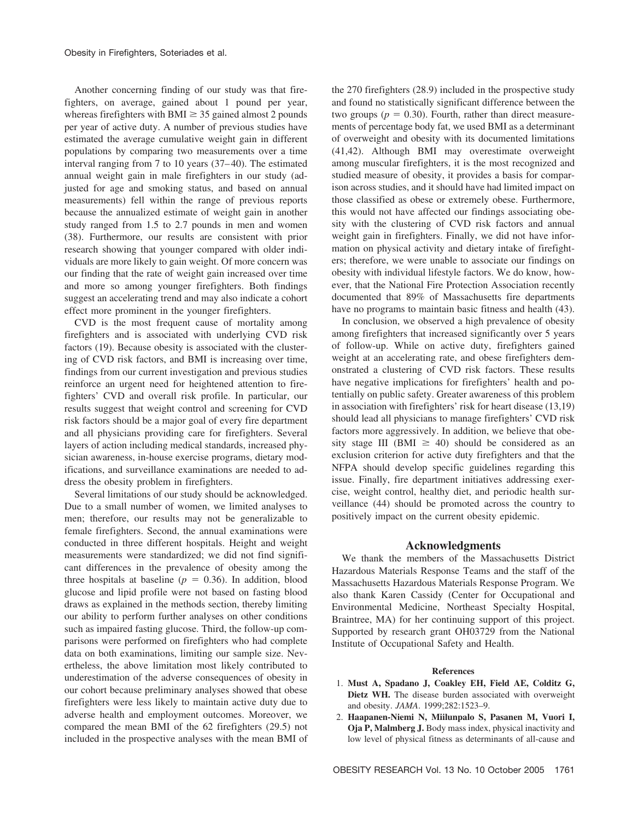Another concerning finding of our study was that firefighters, on average, gained about 1 pound per year, whereas firefighters with BMI  $\geq$  35 gained almost 2 pounds per year of active duty. A number of previous studies have estimated the average cumulative weight gain in different populations by comparing two measurements over a time interval ranging from 7 to 10 years (37– 40). The estimated annual weight gain in male firefighters in our study (adjusted for age and smoking status, and based on annual measurements) fell within the range of previous reports because the annualized estimate of weight gain in another study ranged from 1.5 to 2.7 pounds in men and women (38). Furthermore, our results are consistent with prior research showing that younger compared with older individuals are more likely to gain weight. Of more concern was our finding that the rate of weight gain increased over time and more so among younger firefighters. Both findings suggest an accelerating trend and may also indicate a cohort effect more prominent in the younger firefighters.

CVD is the most frequent cause of mortality among firefighters and is associated with underlying CVD risk factors (19). Because obesity is associated with the clustering of CVD risk factors, and BMI is increasing over time, findings from our current investigation and previous studies reinforce an urgent need for heightened attention to firefighters' CVD and overall risk profile. In particular, our results suggest that weight control and screening for CVD risk factors should be a major goal of every fire department and all physicians providing care for firefighters. Several layers of action including medical standards, increased physician awareness, in-house exercise programs, dietary modifications, and surveillance examinations are needed to address the obesity problem in firefighters.

Several limitations of our study should be acknowledged. Due to a small number of women, we limited analyses to men; therefore, our results may not be generalizable to female firefighters. Second, the annual examinations were conducted in three different hospitals. Height and weight measurements were standardized; we did not find significant differences in the prevalence of obesity among the three hospitals at baseline ( $p = 0.36$ ). In addition, blood glucose and lipid profile were not based on fasting blood draws as explained in the methods section, thereby limiting our ability to perform further analyses on other conditions such as impaired fasting glucose. Third, the follow-up comparisons were performed on firefighters who had complete data on both examinations, limiting our sample size. Nevertheless, the above limitation most likely contributed to underestimation of the adverse consequences of obesity in our cohort because preliminary analyses showed that obese firefighters were less likely to maintain active duty due to adverse health and employment outcomes. Moreover, we compared the mean BMI of the 62 firefighters (29.5) not included in the prospective analyses with the mean BMI of the 270 firefighters (28.9) included in the prospective study and found no statistically significant difference between the two groups ( $p = 0.30$ ). Fourth, rather than direct measurements of percentage body fat, we used BMI as a determinant of overweight and obesity with its documented limitations (41,42). Although BMI may overestimate overweight among muscular firefighters, it is the most recognized and studied measure of obesity, it provides a basis for comparison across studies, and it should have had limited impact on those classified as obese or extremely obese. Furthermore, this would not have affected our findings associating obesity with the clustering of CVD risk factors and annual weight gain in firefighters. Finally, we did not have information on physical activity and dietary intake of firefighters; therefore, we were unable to associate our findings on obesity with individual lifestyle factors. We do know, however, that the National Fire Protection Association recently documented that 89% of Massachusetts fire departments have no programs to maintain basic fitness and health (43).

In conclusion, we observed a high prevalence of obesity among firefighters that increased significantly over 5 years of follow-up. While on active duty, firefighters gained weight at an accelerating rate, and obese firefighters demonstrated a clustering of CVD risk factors. These results have negative implications for firefighters' health and potentially on public safety. Greater awareness of this problem in association with firefighters' risk for heart disease (13,19) should lead all physicians to manage firefighters' CVD risk factors more aggressively. In addition, we believe that obesity stage III (BMI  $\geq$  40) should be considered as an exclusion criterion for active duty firefighters and that the NFPA should develop specific guidelines regarding this issue. Finally, fire department initiatives addressing exercise, weight control, healthy diet, and periodic health surveillance (44) should be promoted across the country to positively impact on the current obesity epidemic.

#### **Acknowledgments**

We thank the members of the Massachusetts District Hazardous Materials Response Teams and the staff of the Massachusetts Hazardous Materials Response Program. We also thank Karen Cassidy (Center for Occupational and Environmental Medicine, Northeast Specialty Hospital, Braintree, MA) for her continuing support of this project. Supported by research grant OH03729 from the National Institute of Occupational Safety and Health.

#### **References**

- 1. **Must A, Spadano J, Coakley EH, Field AE, Colditz G, Dietz WH.** The disease burden associated with overweight and obesity. *JAMA*. 1999;282:1523–9.
- 2. **Haapanen-Niemi N, Miilunpalo S, Pasanen M, Vuori I, Oja P, Malmberg J.** Body mass index, physical inactivity and low level of physical fitness as determinants of all-cause and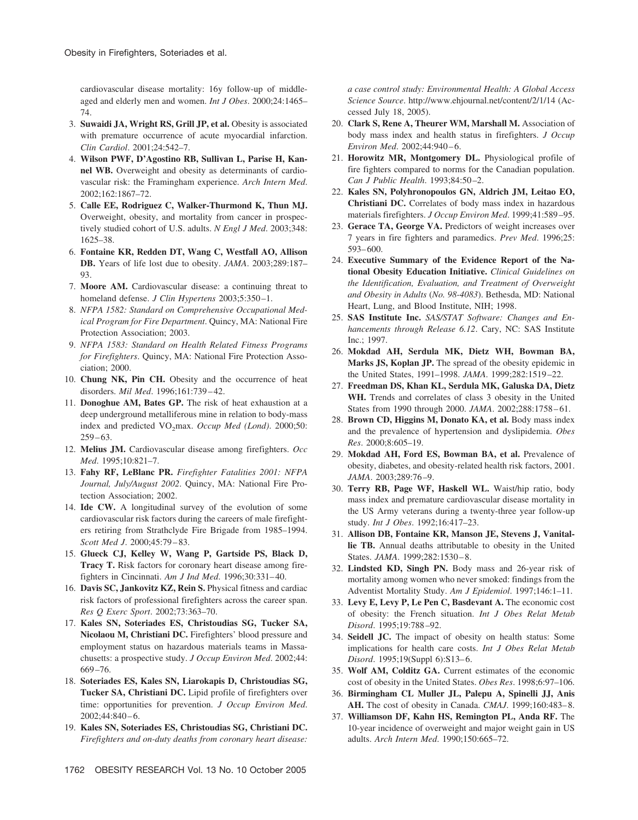cardiovascular disease mortality: 16y follow-up of middleaged and elderly men and women. *Int J Obes*. 2000;24:1465– 74.

- 3. **Suwaidi JA, Wright RS, Grill JP, et al.** Obesity is associated with premature occurrence of acute myocardial infarction. *Clin Cardiol*. 2001;24:542–7.
- 4. **Wilson PWF, D'Agostino RB, Sullivan L, Parise H, Kannel WB.** Overweight and obesity as determinants of cardiovascular risk: the Framingham experience. *Arch Intern Med*. 2002;162:1867–72.
- 5. **Calle EE, Rodriguez C, Walker-Thurmond K, Thun MJ.** Overweight, obesity, and mortality from cancer in prospectively studied cohort of U.S. adults. *N Engl J Med*. 2003;348: 1625–38.
- 6. **Fontaine KR, Redden DT, Wang C, Westfall AO, Allison DB.** Years of life lost due to obesity. *JAMA*. 2003;289:187– 93.
- 7. **Moore AM.** Cardiovascular disease: a continuing threat to homeland defense. *J Clin Hypertens* 2003;5:350-1.
- 8. *NFPA 1582: Standard on Comprehensive Occupational Medical Program for Fire Department*. Quincy, MA: National Fire Protection Association; 2003.
- 9. *NFPA 1583: Standard on Health Related Fitness Programs for Firefighters*. Quincy, MA: National Fire Protection Association; 2000.
- 10. **Chung NK, Pin CH.** Obesity and the occurrence of heat disorders. *Mil Med*. 1996;161:739 – 42.
- 11. **Donoghue AM, Bates GP.** The risk of heat exhaustion at a deep underground metalliferous mine in relation to body-mass index and predicted VO<sub>2</sub>max. *Occup Med (Lond)*. 2000;50:  $259 - 63.$
- 12. **Melius JM.** Cardiovascular disease among firefighters. *Occ Med*. 1995;10:821–7.
- 13. **Fahy RF, LeBlanc PR.** *Firefighter Fatalities 2001: NFPA Journal, July/August 2002*. Quincy, MA: National Fire Protection Association; 2002.
- 14. **Ide CW.** A longitudinal survey of the evolution of some cardiovascular risk factors during the careers of male firefighters retiring from Strathclyde Fire Brigade from 1985–1994. *Scott Med J*. 2000;45:79 – 83.
- 15. **Glueck CJ, Kelley W, Wang P, Gartside PS, Black D, Tracy T.** Risk factors for coronary heart disease among firefighters in Cincinnati. *Am J Ind Med*. 1996;30:331– 40.
- 16. **Davis SC, Jankovitz KZ, Rein S.** Physical fitness and cardiac risk factors of professional firefighters across the career span. *Res Q Exerc Sport*. 2002;73:363–70.
- 17. **Kales SN, Soteriades ES, Christoudias SG, Tucker SA, Nicolaou M, Christiani DC.** Firefighters' blood pressure and employment status on hazardous materials teams in Massachusetts: a prospective study. *J Occup Environ Med*. 2002;44: 669 –76.
- 18. **Soteriades ES, Kales SN, Liarokapis D, Christoudias SG, Tucker SA, Christiani DC.** Lipid profile of firefighters over time: opportunities for prevention. *J Occup Environ Med*. 2002;44:840 – 6.
- 19. **Kales SN, Soteriades ES, Christoudias SG, Christiani DC.** *Firefighters and on-duty deaths from coronary heart disease:*

*a case control study: Environmental Health: A Global Access Science Source*. http://www.ehjournal.net/content/2/1/14 (Accessed July 18, 2005).

- 20. **Clark S, Rene A, Theurer WM, Marshall M.** Association of body mass index and health status in firefighters. *J Occup Environ Med.* 2002;44:940-6.
- 21. **Horowitz MR, Montgomery DL.** Physiological profile of fire fighters compared to norms for the Canadian population. *Can J Public Health*. 1993;84:50 –2.
- 22. **Kales SN, Polyhronopoulos GN, Aldrich JM, Leitao EO, Christiani DC.** Correlates of body mass index in hazardous materials firefighters. *J Occup Environ Med*. 1999;41:589 –95.
- 23. **Gerace TA, George VA.** Predictors of weight increases over 7 years in fire fighters and paramedics. *Prev Med*. 1996;25: 593– 600.
- 24. **Executive Summary of the Evidence Report of the National Obesity Education Initiative.** *Clinical Guidelines on the Identification, Evaluation, and Treatment of Overweight and Obesity in Adults* (*No. 98-4083*). Bethesda, MD: National Heart, Lung, and Blood Institute, NIH; 1998.
- 25. **SAS Institute Inc.** *SAS/STAT Software: Changes and Enhancements through Release 6.12*. Cary, NC: SAS Institute Inc.; 1997.
- 26. **Mokdad AH, Serdula MK, Dietz WH, Bowman BA, Marks JS, Koplan JP.** The spread of the obesity epidemic in the United States, 1991–1998. *JAMA*. 1999;282:1519 –22.
- 27. **Freedman DS, Khan KL, Serdula MK, Galuska DA, Dietz WH.** Trends and correlates of class 3 obesity in the United States from 1990 through 2000. *JAMA*. 2002;288:1758-61.
- 28. **Brown CD, Higgins M, Donato KA, et al.** Body mass index and the prevalence of hypertension and dyslipidemia. *Obes Res*. 2000;8:605–19.
- 29. **Mokdad AH, Ford ES, Bowman BA, et al.** Prevalence of obesity, diabetes, and obesity-related health risk factors, 2001. *JAMA*. 2003;289:76 –9.
- 30. **Terry RB, Page WF, Haskell WL.** Waist/hip ratio, body mass index and premature cardiovascular disease mortality in the US Army veterans during a twenty-three year follow-up study. *Int J Obes*. 1992;16:417–23.
- 31. **Allison DB, Fontaine KR, Manson JE, Stevens J, Vanitallie TB.** Annual deaths attributable to obesity in the United States. *JAMA*. 1999;282:1530-8.
- 32. **Lindsted KD, Singh PN.** Body mass and 26-year risk of mortality among women who never smoked: findings from the Adventist Mortality Study. *Am J Epidemiol*. 1997;146:1–11.
- 33. **Levy E, Levy P, Le Pen C, Basdevant A.** The economic cost of obesity: the French situation. *Int J Obes Relat Metab Disord*. 1995;19:788 –92.
- 34. **Seidell JC.** The impact of obesity on health status: Some implications for health care costs. *Int J Obes Relat Metab Disord.* 1995;19(Suppl 6):S13-6.
- 35. **Wolf AM, Colditz GA.** Current estimates of the economic cost of obesity in the United States. *Obes Res*. 1998;6:97–106.
- 36. **Birmingham CL Muller JL, Palepu A, Spinelli JJ, Anis AH.** The cost of obesity in Canada. *CMAJ*. 1999;160:483– 8.
- 37. **Williamson DF, Kahn HS, Remington PL, Anda RF.** The 10-year incidence of overweight and major weight gain in US adults. *Arch Intern Med*. 1990;150:665–72.